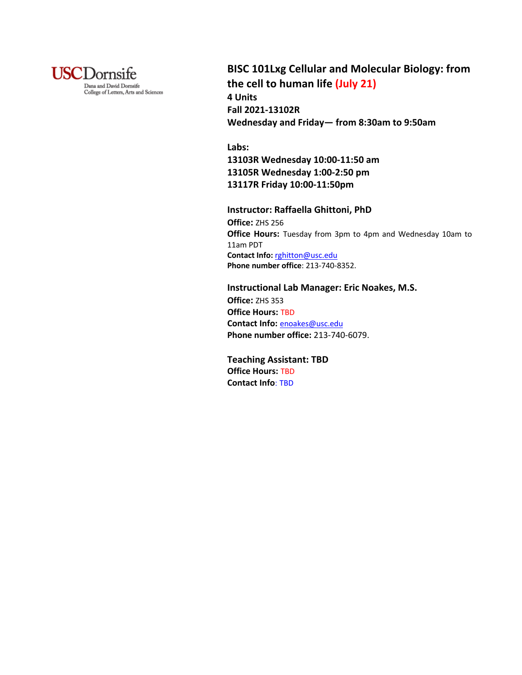

# **BISC 101Lxg Cellular and Molecular Biology: from the cell to human life (July 21) 4 Units Fall 2021-13102R**

**Wednesday and Friday— from 8:30am to 9:50am**

# **Labs:**

**13103R Wednesday 10:00-11:50 am 13105R Wednesday 1:00-2:50 pm 13117R Friday 10:00-11:50pm** 

## **Instructor: Raffaella Ghittoni, PhD**

**Office:** ZHS 256 **Office Hours:** Tuesday from 3pm to 4pm and Wednesday 10am to 11am PDT **Contact Info:** rghitton@usc.edu **Phone number office**: 213-740-8352.

## **Instructional Lab Manager: Eric Noakes, M.S.**

**Office:** ZHS 353 **Office Hours:** TBD **Contact Info:** enoakes@usc.edu **Phone number office:** 213-740-6079.

**Teaching Assistant: TBD Office Hours:** TBD **Contact Info**: TBD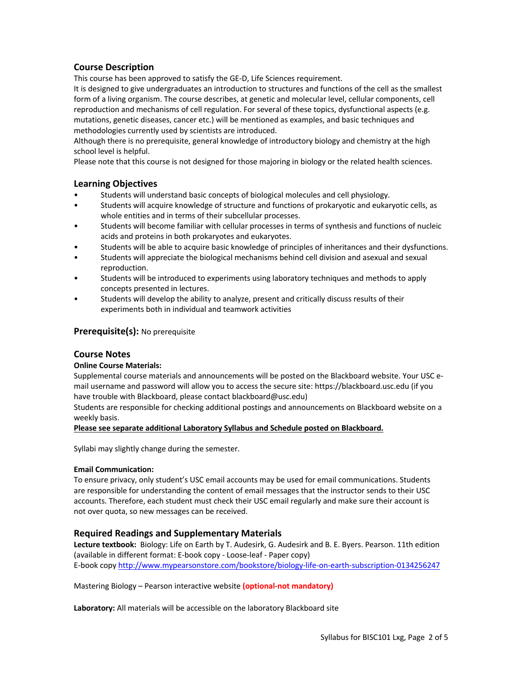# **Course Description**

This course has been approved to satisfy the GE-D, Life Sciences requirement.

It is designed to give undergraduates an introduction to structures and functions of the cell as the smallest form of a living organism. The course describes, at genetic and molecular level, cellular components, cell reproduction and mechanisms of cell regulation. For several of these topics, dysfunctional aspects (e.g. mutations, genetic diseases, cancer etc.) will be mentioned as examples, and basic techniques and methodologies currently used by scientists are introduced.

Although there is no prerequisite, general knowledge of introductory biology and chemistry at the high school level is helpful.

Please note that this course is not designed for those majoring in biology or the related health sciences.

## **Learning Objectives**

- Students will understand basic concepts of biological molecules and cell physiology.
- Students will acquire knowledge of structure and functions of prokaryotic and eukaryotic cells, as whole entities and in terms of their subcellular processes.
- Students will become familiar with cellular processes in terms of synthesis and functions of nucleic acids and proteins in both prokaryotes and eukaryotes.
- Students will be able to acquire basic knowledge of principles of inheritances and their dysfunctions.
- Students will appreciate the biological mechanisms behind cell division and asexual and sexual reproduction.
- Students will be introduced to experiments using laboratory techniques and methods to apply concepts presented in lectures.
- Students will develop the ability to analyze, present and critically discuss results of their experiments both in individual and teamwork activities

# **Prerequisite(s):** No prerequisite

## **Course Notes**

## **Online Course Materials:**

Supplemental course materials and announcements will be posted on the Blackboard website. Your USC email username and password will allow you to access the secure site: https://blackboard.usc.edu (if you have trouble with Blackboard, please contact blackboard@usc.edu)

Students are responsible for checking additional postings and announcements on Blackboard website on a weekly basis.

#### **Please see separate additional Laboratory Syllabus and Schedule posted on Blackboard.**

Syllabi may slightly change during the semester.

#### **Email Communication:**

To ensure privacy, only student's USC email accounts may be used for email communications. Students are responsible for understanding the content of email messages that the instructor sends to their USC accounts. Therefore, each student must check their USC email regularly and make sure their account is not over quota, so new messages can be received.

## **Required Readings and Supplementary Materials**

**Lecture textbook:** Biology: Life on Earth by T. Audesirk, G. Audesirk and B. E. Byers. Pearson. 11th edition (available in different format: E-book copy - Loose-leaf - Paper copy) E-book copy http://www.mypearsonstore.com/bookstore/biology-life-on-earth-subscription-0134256247

Mastering Biology – Pearson interactive website **(optional-not mandatory)**

**Laboratory:** All materials will be accessible on the laboratory Blackboard site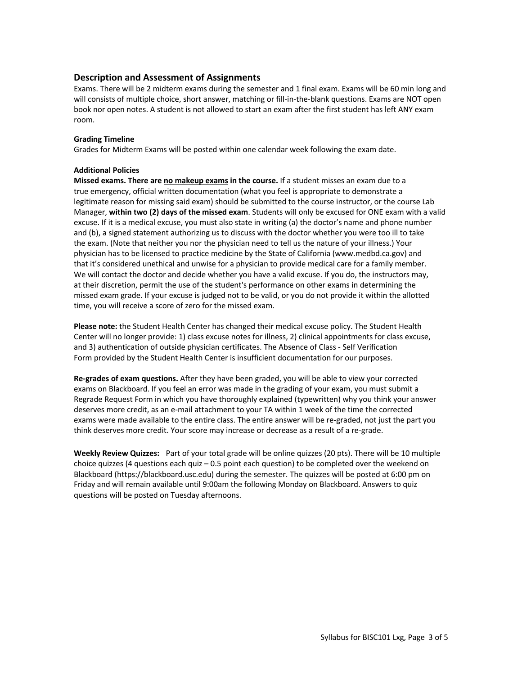# **Description and Assessment of Assignments**

Exams. There will be 2 midterm exams during the semester and 1 final exam. Exams will be 60 min long and will consists of multiple choice, short answer, matching or fill-in-the-blank questions. Exams are NOT open book nor open notes. A student is not allowed to start an exam after the first student has left ANY exam room.

### **Grading Timeline**

Grades for Midterm Exams will be posted within one calendar week following the exam date.

### **Additional Policies**

**Missed exams. There are no makeup exams in the course.** If a student misses an exam due to a true emergency, official written documentation (what you feel is appropriate to demonstrate a legitimate reason for missing said exam) should be submitted to the course instructor, or the course Lab Manager, **within two (2) days of the missed exam**. Students will only be excused for ONE exam with a valid excuse. If it is a medical excuse, you must also state in writing (a) the doctor's name and phone number and (b), a signed statement authorizing us to discuss with the doctor whether you were too ill to take the exam. (Note that neither you nor the physician need to tell us the nature of your illness.) Your physician has to be licensed to practice medicine by the State of California (www.medbd.ca.gov) and that it's considered unethical and unwise for a physician to provide medical care for a family member. We will contact the doctor and decide whether you have a valid excuse. If you do, the instructors may, at their discretion, permit the use of the student's performance on other exams in determining the missed exam grade. If your excuse is judged not to be valid, or you do not provide it within the allotted time, you will receive a score of zero for the missed exam.

**Please note:** the Student Health Center has changed their medical excuse policy. The Student Health Center will no longer provide: 1) class excuse notes for illness, 2) clinical appointments for class excuse, and 3) authentication of outside physician certificates. The Absence of Class - Self Verification Form provided by the Student Health Center is insufficient documentation for our purposes.

**Re-grades of exam questions.** After they have been graded, you will be able to view your corrected exams on Blackboard. If you feel an error was made in the grading of your exam, you must submit a Regrade Request Form in which you have thoroughly explained (typewritten) why you think your answer deserves more credit, as an e-mail attachment to your TA within 1 week of the time the corrected exams were made available to the entire class. The entire answer will be re-graded, not just the part you think deserves more credit. Your score may increase or decrease as a result of a re-grade.

**Weekly Review Quizzes:** Part of your total grade will be online quizzes (20 pts). There will be 10 multiple choice quizzes (4 questions each quiz – 0.5 point each question) to be completed over the weekend on Blackboard (https://blackboard.usc.edu) during the semester. The quizzes will be posted at 6:00 pm on Friday and will remain available until 9:00am the following Monday on Blackboard. Answers to quiz questions will be posted on Tuesday afternoons.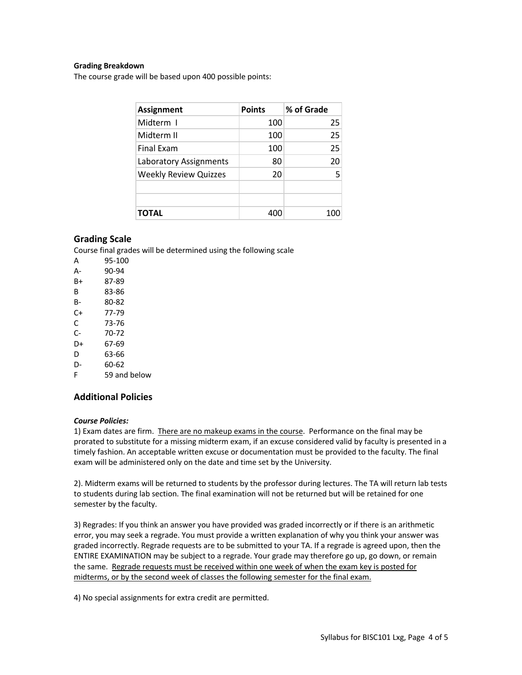### **Grading Breakdown**

The course grade will be based upon 400 possible points:

| <b>Assignment</b>            | <b>Points</b> | % of Grade |  |
|------------------------------|---------------|------------|--|
| Midterm I                    | 100           | 25         |  |
| Midterm II                   | 100           | 25         |  |
| <b>Final Exam</b>            | 100           | 25         |  |
| Laboratory Assignments       | 80            | 20         |  |
| <b>Weekly Review Quizzes</b> | 20            | 5          |  |
|                              |               |            |  |
|                              |               |            |  |
| <b>TOTAL</b>                 | 400           | 100        |  |

## **Grading Scale**

Course final grades will be determined using the following scale

- A 95-100 A- 90-94 B+ 87-89 B 83-86 B- 80-82 C+ 77-79
- C 73-76
- C- 70-72
- D+ 67-69
- D 63-66
- D- 60-62
- F 59 and below

# **Additional Policies**

#### *Course Policies:*

1) Exam dates are firm. There are no makeup exams in the course. Performance on the final may be prorated to substitute for a missing midterm exam, if an excuse considered valid by faculty is presented in a timely fashion. An acceptable written excuse or documentation must be provided to the faculty. The final exam will be administered only on the date and time set by the University.

2). Midterm exams will be returned to students by the professor during lectures. The TA will return lab tests to students during lab section. The final examination will not be returned but will be retained for one semester by the faculty.

3) Regrades: If you think an answer you have provided was graded incorrectly or if there is an arithmetic error, you may seek a regrade. You must provide a written explanation of why you think your answer was graded incorrectly. Regrade requests are to be submitted to your TA. If a regrade is agreed upon, then the ENTIRE EXAMINATION may be subject to a regrade. Your grade may therefore go up, go down, or remain the same. Regrade requests must be received within one week of when the exam key is posted for midterms, or by the second week of classes the following semester for the final exam.

4) No special assignments for extra credit are permitted.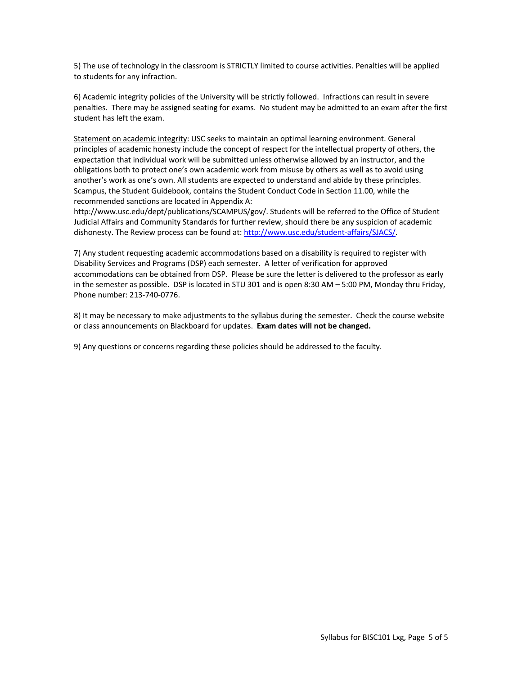5) The use of technology in the classroom is STRICTLY limited to course activities. Penalties will be applied to students for any infraction.

6) Academic integrity policies of the University will be strictly followed. Infractions can result in severe penalties. There may be assigned seating for exams. No student may be admitted to an exam after the first student has left the exam.

Statement on academic integrity: USC seeks to maintain an optimal learning environment. General principles of academic honesty include the concept of respect for the intellectual property of others, the expectation that individual work will be submitted unless otherwise allowed by an instructor, and the obligations both to protect one's own academic work from misuse by others as well as to avoid using another's work as one's own. All students are expected to understand and abide by these principles. Scampus, the Student Guidebook, contains the Student Conduct Code in Section 11.00, while the recommended sanctions are located in Appendix A:

http://www.usc.edu/dept/publications/SCAMPUS/gov/. Students will be referred to the Office of Student Judicial Affairs and Community Standards for further review, should there be any suspicion of academic dishonesty. The Review process can be found at: http://www.usc.edu/student-affairs/SJACS/.

7) Any student requesting academic accommodations based on a disability is required to register with Disability Services and Programs (DSP) each semester. A letter of verification for approved accommodations can be obtained from DSP. Please be sure the letter is delivered to the professor as early in the semester as possible. DSP is located in STU 301 and is open 8:30 AM – 5:00 PM, Monday thru Friday, Phone number: 213-740-0776.

8) It may be necessary to make adjustments to the syllabus during the semester. Check the course website or class announcements on Blackboard for updates. **Exam dates will not be changed.**

9) Any questions or concerns regarding these policies should be addressed to the faculty.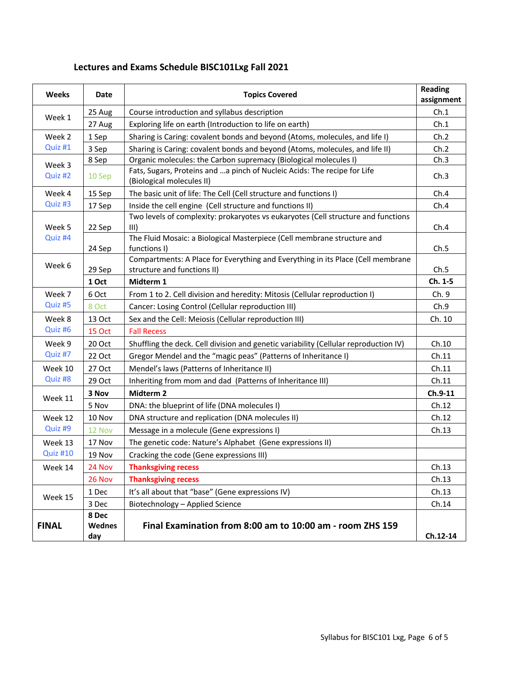# **Lectures and Exams Schedule BISC101Lxg Fall 2021**

| <b>Weeks</b>                          | Date                                                                                                                       | <b>Topics Covered</b>                                                                                          |              |
|---------------------------------------|----------------------------------------------------------------------------------------------------------------------------|----------------------------------------------------------------------------------------------------------------|--------------|
|                                       | 25 Aug                                                                                                                     | Course introduction and syllabus description                                                                   |              |
| Week 1                                | Exploring life on earth (Introduction to life on earth)<br>27 Aug                                                          |                                                                                                                | Ch.1<br>Ch.1 |
| Week 2                                | 1 Sep                                                                                                                      | Sharing is Caring: covalent bonds and beyond (Atoms, molecules, and life I)                                    |              |
| Quiz #1                               | 3 Sep                                                                                                                      | Sharing is Caring: covalent bonds and beyond (Atoms, molecules, and life II)                                   |              |
|                                       | 8 Sep                                                                                                                      | Organic molecules: the Carbon supremacy (Biological molecules I)                                               |              |
| Quiz #2                               | Week 3<br>Fats, Sugars, Proteins and  a pinch of Nucleic Acids: The recipe for Life<br>10 Sep<br>(Biological molecules II) |                                                                                                                | Ch.3         |
| Week 4                                | 15 Sep                                                                                                                     | The basic unit of life: The Cell (Cell structure and functions I)                                              |              |
| Quiz #3                               | Inside the cell engine (Cell structure and functions II)<br>17 Sep                                                         |                                                                                                                | Ch.4         |
| Week 5<br>22 Sep<br>Quiz #4<br>24 Sep |                                                                                                                            | Two levels of complexity: prokaryotes vs eukaryotes (Cell structure and functions<br>III)                      |              |
|                                       |                                                                                                                            | The Fluid Mosaic: a Biological Masterpiece (Cell membrane structure and<br>functions I)                        |              |
| Week 6<br>29 Sep                      |                                                                                                                            | Compartments: A Place for Everything and Everything in its Place (Cell membrane<br>structure and functions II) |              |
|                                       | 1 Oct                                                                                                                      | Midterm 1                                                                                                      | Ch. 1-5      |
| Week 7                                | 6 Oct                                                                                                                      | From 1 to 2. Cell division and heredity: Mitosis (Cellular reproduction I)                                     |              |
| Quiz #5                               | 8 Oct<br>Cancer: Losing Control (Cellular reproduction III)                                                                |                                                                                                                | Ch.9         |
| Week 8                                | 13 Oct                                                                                                                     | Sex and the Cell: Meiosis (Cellular reproduction III)                                                          | Ch. 10       |
| Quiz #6                               | <b>15 Oct</b>                                                                                                              | <b>Fall Recess</b>                                                                                             |              |
| Week 9                                | 20 Oct                                                                                                                     | Shuffling the deck. Cell division and genetic variability (Cellular reproduction IV)                           |              |
| Quiz #7                               | 22 Oct                                                                                                                     | Gregor Mendel and the "magic peas" (Patterns of Inheritance I)                                                 |              |
| Week 10                               | 27 Oct                                                                                                                     | Mendel's laws (Patterns of Inheritance II)                                                                     |              |
| Quiz #8<br>29 Oct                     |                                                                                                                            | Inheriting from mom and dad (Patterns of Inheritance III)                                                      | Ch.11        |
| 3 Nov<br>Week 11<br>5 Nov             |                                                                                                                            | Midterm <sub>2</sub>                                                                                           | Ch.9-11      |
|                                       |                                                                                                                            | DNA: the blueprint of life (DNA molecules I)                                                                   | Ch.12        |
| Week 12                               | 10 Nov                                                                                                                     | DNA structure and replication (DNA molecules II)                                                               | Ch.12        |
| Quiz #9<br>12 Nov                     |                                                                                                                            | Message in a molecule (Gene expressions I)                                                                     | Ch.13        |
| Week 13                               | 17 Nov                                                                                                                     | The genetic code: Nature's Alphabet (Gene expressions II)                                                      |              |
| Quiz #10                              | 19 Nov                                                                                                                     | Cracking the code (Gene expressions III)                                                                       |              |
| Week 14                               | 24 Nov                                                                                                                     | <b>Thanksgiving recess</b>                                                                                     | Ch.13        |
|                                       | 26 Nov                                                                                                                     | <b>Thanksgiving recess</b>                                                                                     | Ch.13        |
| Week 15                               | 1 Dec                                                                                                                      | It's all about that "base" (Gene expressions IV)                                                               | Ch.13        |
|                                       | 3 Dec                                                                                                                      | Biotechnology - Applied Science                                                                                | Ch.14        |
| <b>FINAL</b>                          | 8 Dec<br><b>Wednes</b><br>day                                                                                              | Final Examination from 8:00 am to 10:00 am - room ZHS 159                                                      | Ch.12-14     |